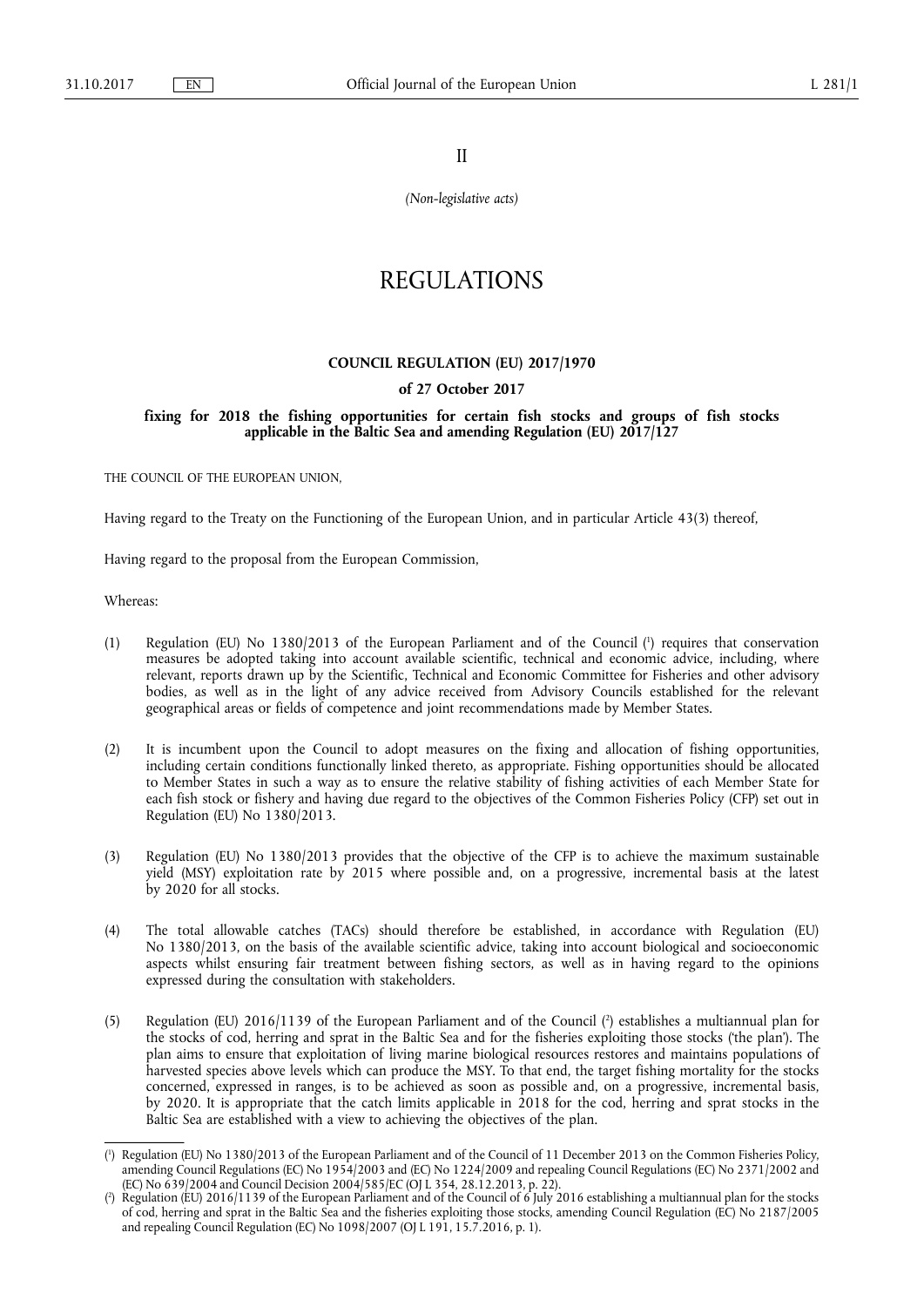II

*(Non-legislative acts)* 

# REGULATIONS

## **COUNCIL REGULATION (EU) 2017/1970**

## **of 27 October 2017**

## **fixing for 2018 the fishing opportunities for certain fish stocks and groups of fish stocks applicable in the Baltic Sea and amending Regulation (EU) 2017/127**

THE COUNCIL OF THE EUROPEAN UNION,

Having regard to the Treaty on the Functioning of the European Union, and in particular Article 43(3) thereof,

Having regard to the proposal from the European Commission,

Whereas:

- (1) Regulation (EU) No 1380/2013 of the European Parliament and of the Council ( 1 ) requires that conservation measures be adopted taking into account available scientific, technical and economic advice, including, where relevant, reports drawn up by the Scientific, Technical and Economic Committee for Fisheries and other advisory bodies, as well as in the light of any advice received from Advisory Councils established for the relevant geographical areas or fields of competence and joint recommendations made by Member States.
- (2) It is incumbent upon the Council to adopt measures on the fixing and allocation of fishing opportunities, including certain conditions functionally linked thereto, as appropriate. Fishing opportunities should be allocated to Member States in such a way as to ensure the relative stability of fishing activities of each Member State for each fish stock or fishery and having due regard to the objectives of the Common Fisheries Policy (CFP) set out in Regulation (EU) No 1380/2013.
- (3) Regulation (EU) No 1380/2013 provides that the objective of the CFP is to achieve the maximum sustainable yield (MSY) exploitation rate by 2015 where possible and, on a progressive, incremental basis at the latest by 2020 for all stocks.
- (4) The total allowable catches (TACs) should therefore be established, in accordance with Regulation (EU) No 1380/2013, on the basis of the available scientific advice, taking into account biological and socioeconomic aspects whilst ensuring fair treatment between fishing sectors, as well as in having regard to the opinions expressed during the consultation with stakeholders.
- (5) Regulation (EU) 2016/1139 of the European Parliament and of the Council ( 2 ) establishes a multiannual plan for the stocks of cod, herring and sprat in the Baltic Sea and for the fisheries exploiting those stocks ('the plan'). The plan aims to ensure that exploitation of living marine biological resources restores and maintains populations of harvested species above levels which can produce the MSY. To that end, the target fishing mortality for the stocks concerned, expressed in ranges, is to be achieved as soon as possible and, on a progressive, incremental basis, by 2020. It is appropriate that the catch limits applicable in 2018 for the cod, herring and sprat stocks in the Baltic Sea are established with a view to achieving the objectives of the plan.

<sup>(</sup> 1 ) Regulation (EU) No 1380/2013 of the European Parliament and of the Council of 11 December 2013 on the Common Fisheries Policy, amending Council Regulations (EC) No 1954/2003 and (EC) No 1224/2009 and repealing Council Regulations (EC) No 2371/2002 and (EC) No 639/2004 and Council Decision 2004/585/EC (OJ L 354, 28.12.2013, p. 22).

<sup>(</sup> 2 ) Regulation (EU) 2016/1139 of the European Parliament and of the Council of 6 July 2016 establishing a multiannual plan for the stocks of cod, herring and sprat in the Baltic Sea and the fisheries exploiting those stocks, amending Council Regulation (EC) No 2187/2005 and repealing Council Regulation (EC) No 1098/2007 (OJ L 191, 15.7.2016, p. 1).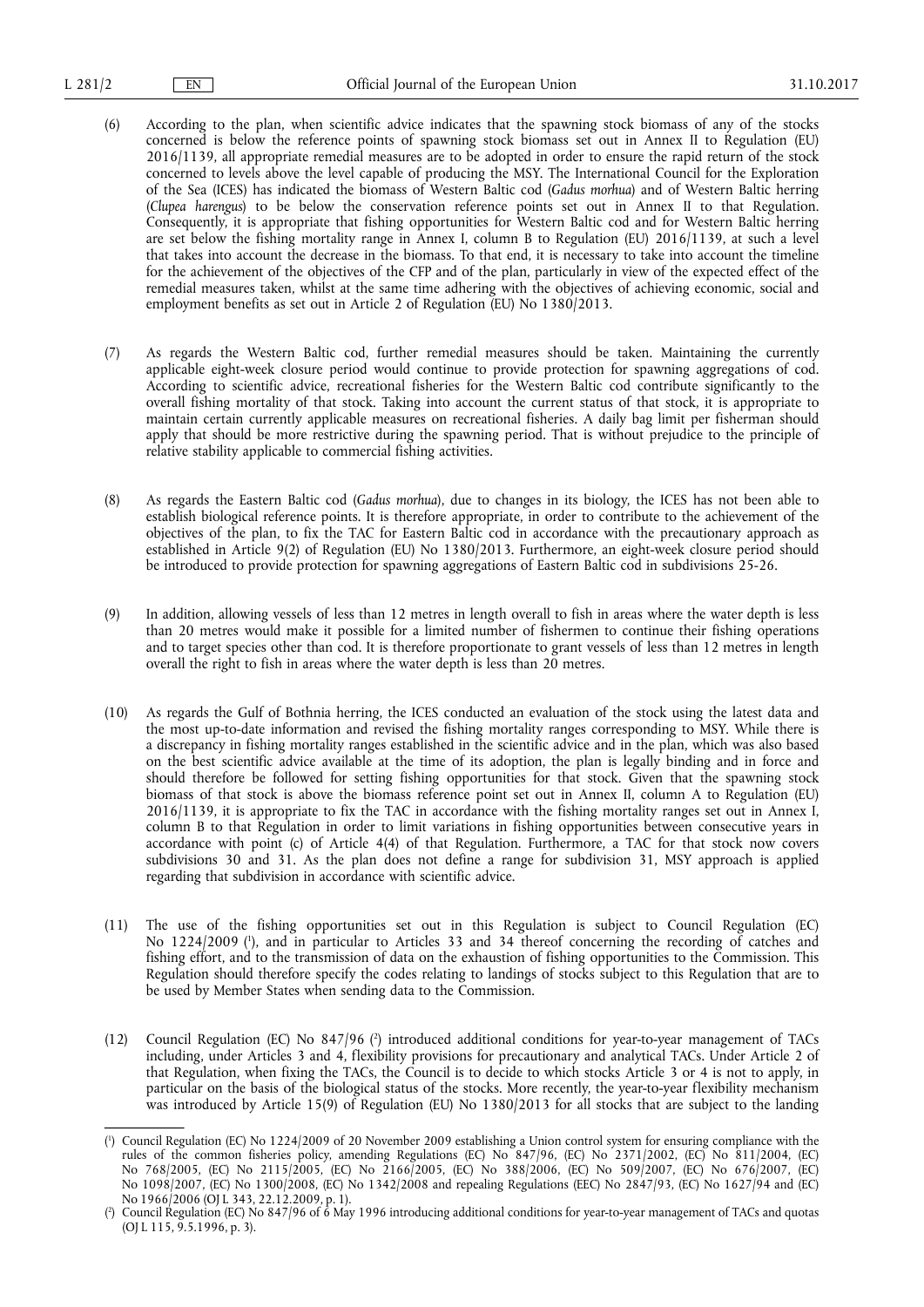- (6) According to the plan, when scientific advice indicates that the spawning stock biomass of any of the stocks concerned is below the reference points of spawning stock biomass set out in Annex II to Regulation (EU) 2016/1139, all appropriate remedial measures are to be adopted in order to ensure the rapid return of the stock concerned to levels above the level capable of producing the MSY. The International Council for the Exploration of the Sea (ICES) has indicated the biomass of Western Baltic cod (*Gadus morhua*) and of Western Baltic herring (*Clupea harengus*) to be below the conservation reference points set out in Annex II to that Regulation. Consequently, it is appropriate that fishing opportunities for Western Baltic cod and for Western Baltic herring are set below the fishing mortality range in Annex I, column B to Regulation (EU) 2016/1139, at such a level that takes into account the decrease in the biomass. To that end, it is necessary to take into account the timeline for the achievement of the objectives of the CFP and of the plan, particularly in view of the expected effect of the remedial measures taken, whilst at the same time adhering with the objectives of achieving economic, social and employment benefits as set out in Article 2 of Regulation (EU) No 1380/2013.
- (7) As regards the Western Baltic cod, further remedial measures should be taken. Maintaining the currently applicable eight-week closure period would continue to provide protection for spawning aggregations of cod. According to scientific advice, recreational fisheries for the Western Baltic cod contribute significantly to the overall fishing mortality of that stock. Taking into account the current status of that stock, it is appropriate to maintain certain currently applicable measures on recreational fisheries. A daily bag limit per fisherman should apply that should be more restrictive during the spawning period. That is without prejudice to the principle of relative stability applicable to commercial fishing activities.
- (8) As regards the Eastern Baltic cod (*Gadus morhua*), due to changes in its biology, the ICES has not been able to establish biological reference points. It is therefore appropriate, in order to contribute to the achievement of the objectives of the plan, to fix the TAC for Eastern Baltic cod in accordance with the precautionary approach as established in Article 9(2) of Regulation (EU) No 1380/2013. Furthermore, an eight-week closure period should be introduced to provide protection for spawning aggregations of Eastern Baltic cod in subdivisions 25-26.
- (9) In addition, allowing vessels of less than 12 metres in length overall to fish in areas where the water depth is less than 20 metres would make it possible for a limited number of fishermen to continue their fishing operations and to target species other than cod. It is therefore proportionate to grant vessels of less than 12 metres in length overall the right to fish in areas where the water depth is less than  $20$  metres.
- (10) As regards the Gulf of Bothnia herring, the ICES conducted an evaluation of the stock using the latest data and the most up-to-date information and revised the fishing mortality ranges corresponding to MSY. While there is a discrepancy in fishing mortality ranges established in the scientific advice and in the plan, which was also based on the best scientific advice available at the time of its adoption, the plan is legally binding and in force and should therefore be followed for setting fishing opportunities for that stock. Given that the spawning stock biomass of that stock is above the biomass reference point set out in Annex II, column A to Regulation (EU) 2016/1139, it is appropriate to fix the TAC in accordance with the fishing mortality ranges set out in Annex I, column B to that Regulation in order to limit variations in fishing opportunities between consecutive years in accordance with point (c) of Article 4(4) of that Regulation. Furthermore, a TAC for that stock now covers subdivisions 30 and 31. As the plan does not define a range for subdivision 31, MSY approach is applied regarding that subdivision in accordance with scientific advice.
- (11) The use of the fishing opportunities set out in this Regulation is subject to Council Regulation (EC) No 1224/2009 ( 1 ), and in particular to Articles 33 and 34 thereof concerning the recording of catches and fishing effort, and to the transmission of data on the exhaustion of fishing opportunities to the Commission. This Regulation should therefore specify the codes relating to landings of stocks subject to this Regulation that are to be used by Member States when sending data to the Commission.
- (12) Council Regulation (EC) No 847/96 (<sup>2</sup>) introduced additional conditions for year-to-year management of TACs including, under Articles 3 and 4, flexibility provisions for precautionary and analytical TACs. Under Article 2 of that Regulation, when fixing the TACs, the Council is to decide to which stocks Article 3 or 4 is not to apply, in particular on the basis of the biological status of the stocks. More recently, the year-to-year flexibility mechanism was introduced by Article 15(9) of Regulation (EU) No 1380/2013 for all stocks that are subject to the landing

<sup>(</sup> 1 ) Council Regulation (EC) No 1224/2009 of 20 November 2009 establishing a Union control system for ensuring compliance with the rules of the common fisheries policy, amending Regulations (EC) No 847/96, (EC) No 2371/2002, (EC) No 811/2004, (EC) No 768/2005, (EC) No 2115/2005, (EC) No 2166/2005, (EC) No 388/2006, (EC) No 509/2007, (EC) No 676/2007, (EC) No 1098/2007, (EC) No 1300/2008, (EC) No 1342/2008 and repealing Regulations (EEC) No 2847/93, (EC) No 1627/94 and (EC) No 1966/2006 (OJ L 343, 22.12.2009, p. 1).

<sup>(</sup> 2 ) Council Regulation (EC) No 847/96 of 6 May 1996 introducing additional conditions for year-to-year management of TACs and quotas (OJ L 115, 9.5.1996, p. 3).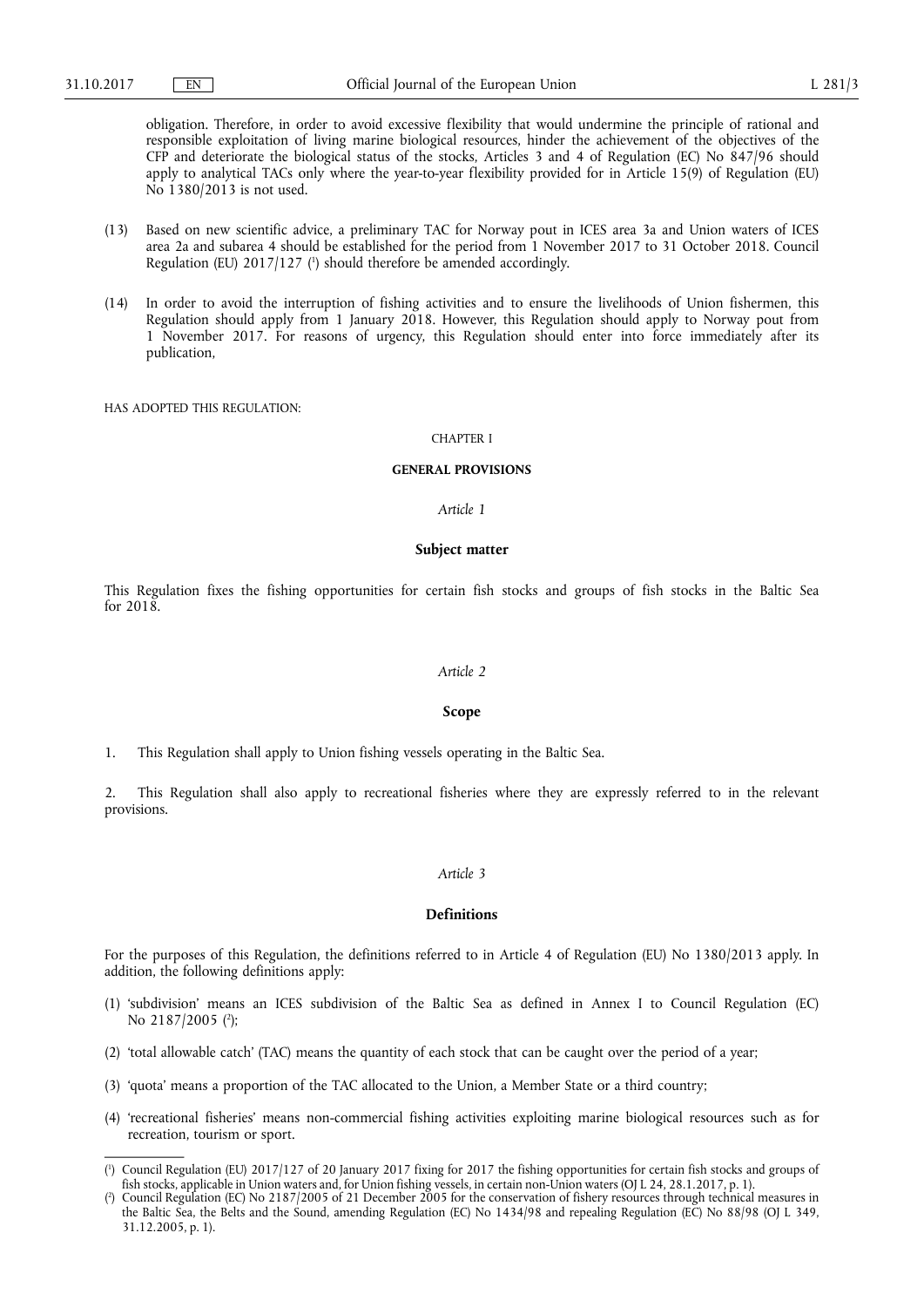obligation. Therefore, in order to avoid excessive flexibility that would undermine the principle of rational and responsible exploitation of living marine biological resources, hinder the achievement of the objectives of the CFP and deteriorate the biological status of the stocks, Articles 3 and 4 of Regulation (EC) No 847/96 should apply to analytical TACs only where the year-to-year flexibility provided for in Article 15(9) of Regulation (EU) No 1380/2013 is not used.

- (13) Based on new scientific advice, a preliminary TAC for Norway pout in ICES area 3a and Union waters of ICES area 2a and subarea 4 should be established for the period from 1 November 2017 to 31 October 2018. Council Regulation (EU) 2017/127 ( 1 ) should therefore be amended accordingly.
- (14) In order to avoid the interruption of fishing activities and to ensure the livelihoods of Union fishermen, this Regulation should apply from 1 January 2018. However, this Regulation should apply to Norway pout from 1 November 2017. For reasons of urgency, this Regulation should enter into force immediately after its publication,

HAS ADOPTED THIS REGULATION:

#### CHAPTER I

## **GENERAL PROVISIONS**

## *Article 1*

#### **Subject matter**

This Regulation fixes the fishing opportunities for certain fish stocks and groups of fish stocks in the Baltic Sea for 2018.

## *Article 2*

#### **Scope**

1. This Regulation shall apply to Union fishing vessels operating in the Baltic Sea.

2. This Regulation shall also apply to recreational fisheries where they are expressly referred to in the relevant provisions.

## *Article 3*

## **Definitions**

For the purposes of this Regulation, the definitions referred to in Article 4 of Regulation (EU) No 1380/2013 apply. In addition, the following definitions apply:

- (1) 'subdivision' means an ICES subdivision of the Baltic Sea as defined in Annex I to Council Regulation (EC) No 2187/2005 (<sup>2</sup>);
- (2) 'total allowable catch' (TAC) means the quantity of each stock that can be caught over the period of a year;
- (3) 'quota' means a proportion of the TAC allocated to the Union, a Member State or a third country;
- (4) 'recreational fisheries' means non-commercial fishing activities exploiting marine biological resources such as for recreation, tourism or sport.

<sup>(</sup> 1 ) Council Regulation (EU) 2017/127 of 20 January 2017 fixing for 2017 the fishing opportunities for certain fish stocks and groups of fish stocks, applicable in Union waters and, for Union fishing vessels, in certain non-Union waters (OJ L 24, 28.1.2017, p. 1).

<sup>(</sup> 2 ) Council Regulation (EC) No 2187/2005 of 21 December 2005 for the conservation of fishery resources through technical measures in the Baltic Sea, the Belts and the Sound, amending Regulation (EC) No 1434/98 and repealing Regulation (EC) No 88/98 (OJ L 349, 31.12.2005, p. 1).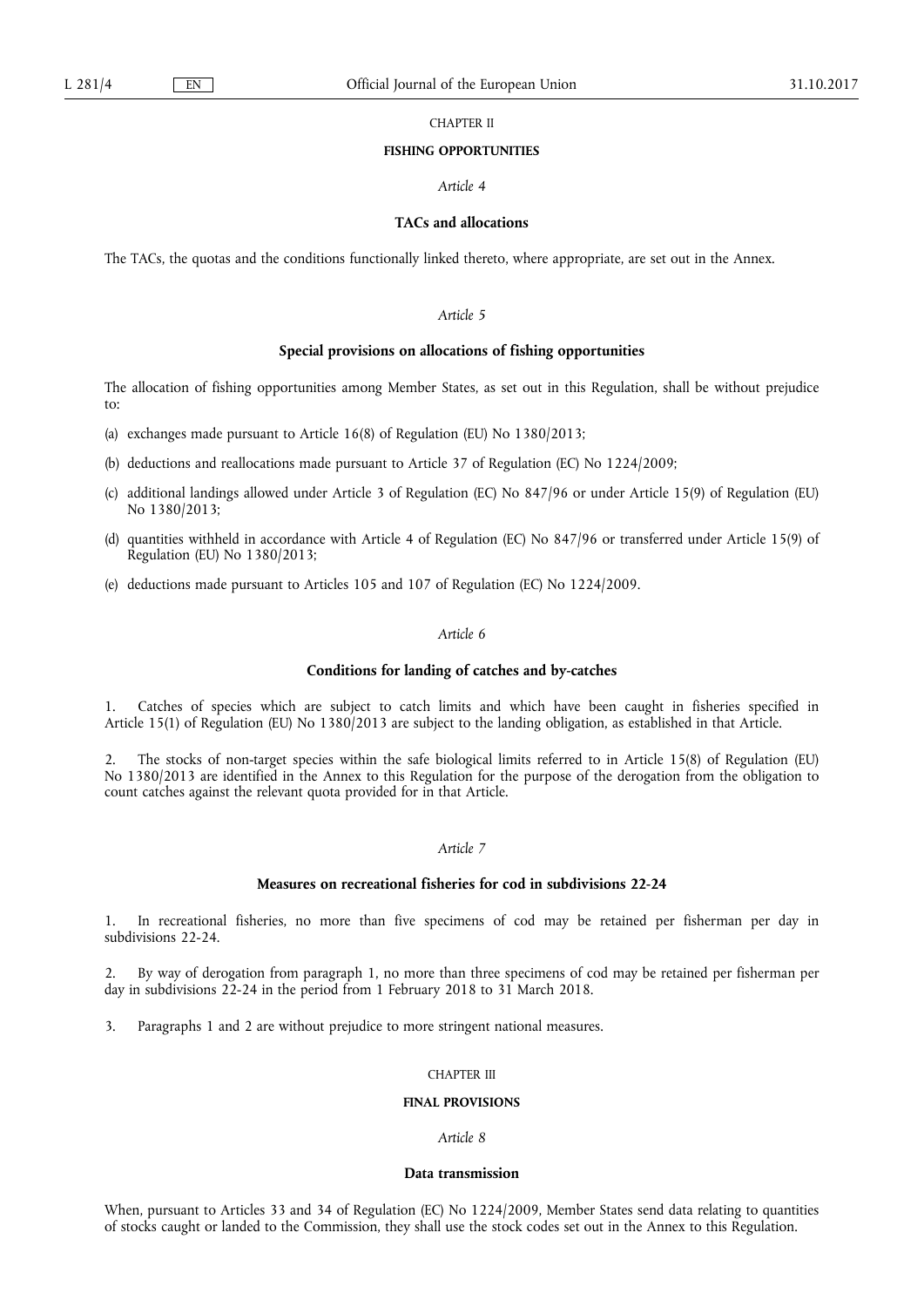## CHAPTER II

### **FISHING OPPORTUNITIES**

## *Article 4*

## **TACs and allocations**

The TACs, the quotas and the conditions functionally linked thereto, where appropriate, are set out in the Annex.

## *Article 5*

#### **Special provisions on allocations of fishing opportunities**

The allocation of fishing opportunities among Member States, as set out in this Regulation, shall be without prejudice to:

- (a) exchanges made pursuant to Article 16(8) of Regulation (EU) No 1380/2013;
- (b) deductions and reallocations made pursuant to Article 37 of Regulation (EC) No 1224/2009;
- (c) additional landings allowed under Article 3 of Regulation (EC) No 847/96 or under Article 15(9) of Regulation (EU) No 1380/2013;
- (d) quantities withheld in accordance with Article 4 of Regulation (EC) No 847/96 or transferred under Article 15(9) of Regulation (EU) No 1380/2013;
- (e) deductions made pursuant to Articles 105 and 107 of Regulation (EC) No 1224/2009.

## *Article 6*

## **Conditions for landing of catches and by-catches**

1. Catches of species which are subject to catch limits and which have been caught in fisheries specified in Article 15(1) of Regulation (EU) No 1380/2013 are subject to the landing obligation, as established in that Article.

2. The stocks of non-target species within the safe biological limits referred to in Article 15(8) of Regulation (EU) No 1380/2013 are identified in the Annex to this Regulation for the purpose of the derogation from the obligation to count catches against the relevant quota provided for in that Article.

## *Article 7*

#### **Measures on recreational fisheries for cod in subdivisions 22-24**

1. In recreational fisheries, no more than five specimens of cod may be retained per fisherman per day in subdivisions 22-24.

2. By way of derogation from paragraph 1, no more than three specimens of cod may be retained per fisherman per day in subdivisions 22-24 in the period from 1 February 2018 to 31 March 2018.

3. Paragraphs 1 and 2 are without prejudice to more stringent national measures.

#### CHAPTER III

#### **FINAL PROVISIONS**

#### *Article 8*

## **Data transmission**

When, pursuant to Articles 33 and 34 of Regulation (EC) No 1224/2009, Member States send data relating to quantities of stocks caught or landed to the Commission, they shall use the stock codes set out in the Annex to this Regulation.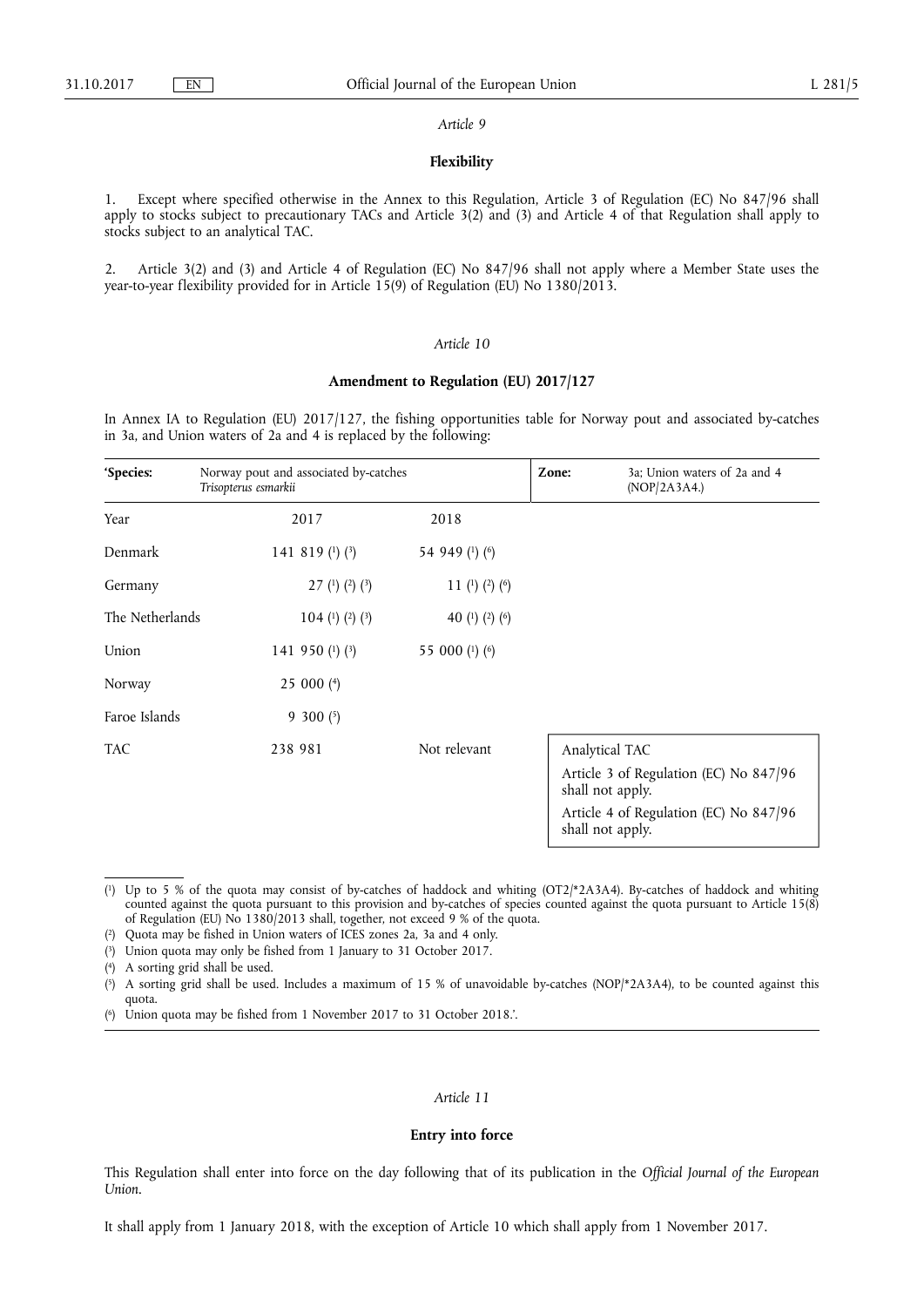#### *Article 9*

## **Flexibility**

1. Except where specified otherwise in the Annex to this Regulation, Article 3 of Regulation (EC) No 847/96 shall apply to stocks subject to precautionary TACs and Article 3(2) and (3) and Article 4 of that Regulation shall apply to stocks subject to an analytical TAC.

2. Article 3(2) and (3) and Article 4 of Regulation (EC) No 847/96 shall not apply where a Member State uses the year-to-year flexibility provided for in Article 15(9) of Regulation (EU) No 1380/2013.

### *Article 10*

## **Amendment to Regulation (EU) 2017/127**

In Annex IA to Regulation (EU) 2017/127, the fishing opportunities table for Norway pout and associated by-catches in 3a, and Union waters of 2a and 4 is replaced by the following:

| 'Species:       | Norway pout and associated by-catches<br>Trisopterus esmarkii |                | 3a; Union waters of 2a and 4<br>Zone:<br>(POP/2A3A4.)      |
|-----------------|---------------------------------------------------------------|----------------|------------------------------------------------------------|
| Year            | 2017                                                          | 2018           |                                                            |
| Denmark         | 141 819 $(1)$ $(3)$                                           | 54 949 (1) (6) |                                                            |
| Germany         | 27 (1) (2) (3)                                                | 11 (1) (2) (6) |                                                            |
| The Netherlands | 104 (1) (2) (3)                                               | 40 (1) (2) (6) |                                                            |
| Union           | 141 950 $(1)$ $(3)$                                           | 55 000 (1) (6) |                                                            |
| Norway          | 25 000 $(4)$                                                  |                |                                                            |
| Faroe Islands   | $9\,300\,(5)$                                                 |                |                                                            |
| <b>TAC</b>      | 238 981                                                       | Not relevant   | Analytical TAC                                             |
|                 |                                                               |                | Article 3 of Regulation (EC) No 847/96<br>shall not apply. |
|                 |                                                               |                | Article 4 of Regulation (EC) No 847/96<br>shall not apply. |

( 1) Up to 5 % of the quota may consist of by-catches of haddock and whiting (OT2/\*2A3A4). By-catches of haddock and whiting counted against the quota pursuant to this provision and by-catches of species counted against the quota pursuant to Article 15(8) of Regulation (EU) No 1380/2013 shall, together, not exceed 9 % of the quota.

- ( 2) Quota may be fished in Union waters of ICES zones 2a, 3a and 4 only.
- ( 3) Union quota may only be fished from 1 January to 31 October 2017.
- $(4)$ 4) A sorting grid shall be used.

 $(5)$ 5) A sorting grid shall be used. Includes a maximum of 15 % of unavoidable by-catches (NOP/\*2A3A4), to be counted against this quota.

 $(6)$ Union quota may be fished from 1 November 2017 to 31 October 2018.'.

## *Article 11*

#### **Entry into force**

This Regulation shall enter into force on the day following that of its publication in the *Official Journal of the European Union*.

It shall apply from 1 January 2018, with the exception of Article 10 which shall apply from 1 November 2017.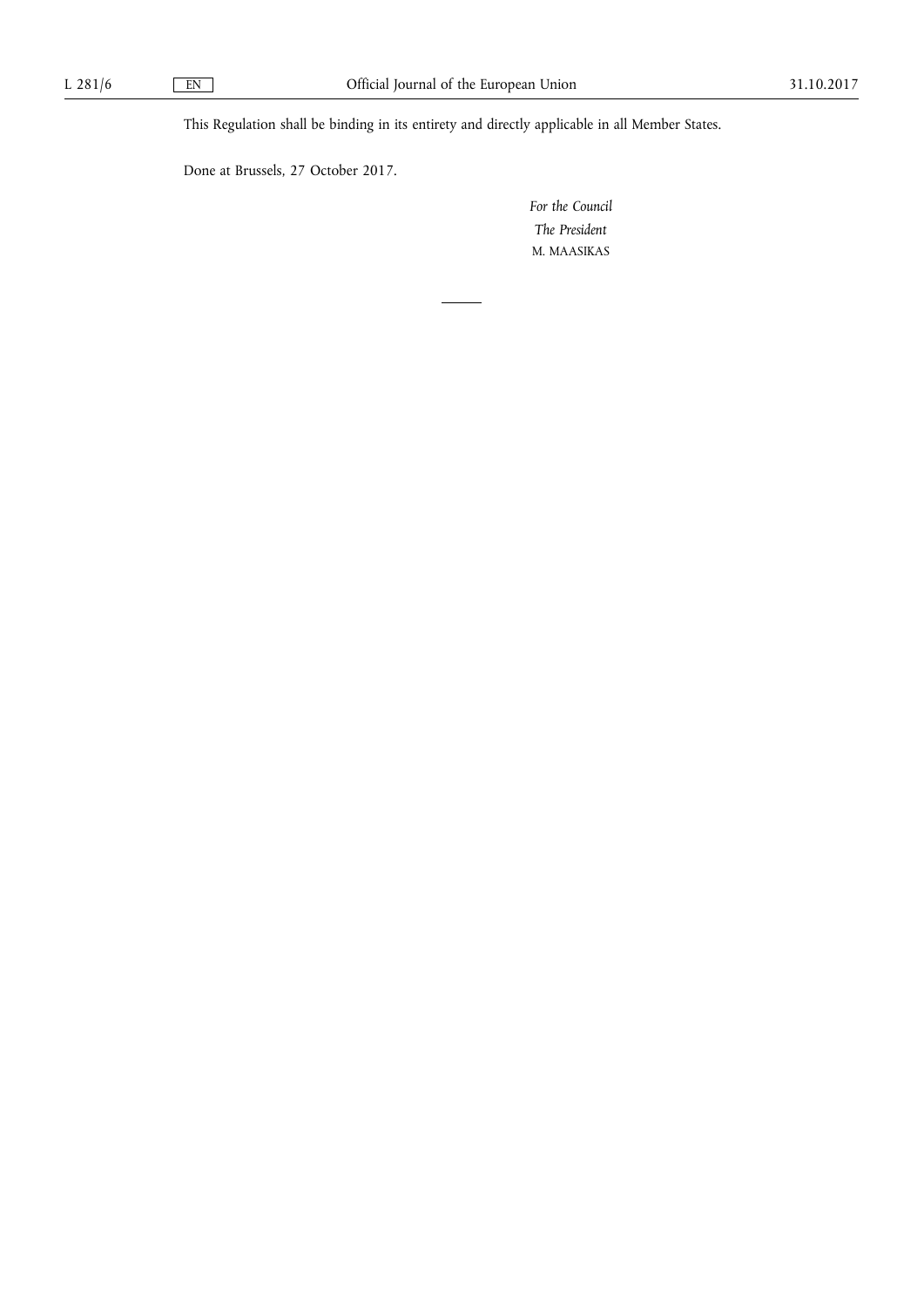This Regulation shall be binding in its entirety and directly applicable in all Member States.

Done at Brussels, 27 October 2017.

*For the Council The President*  M. MAASIKAS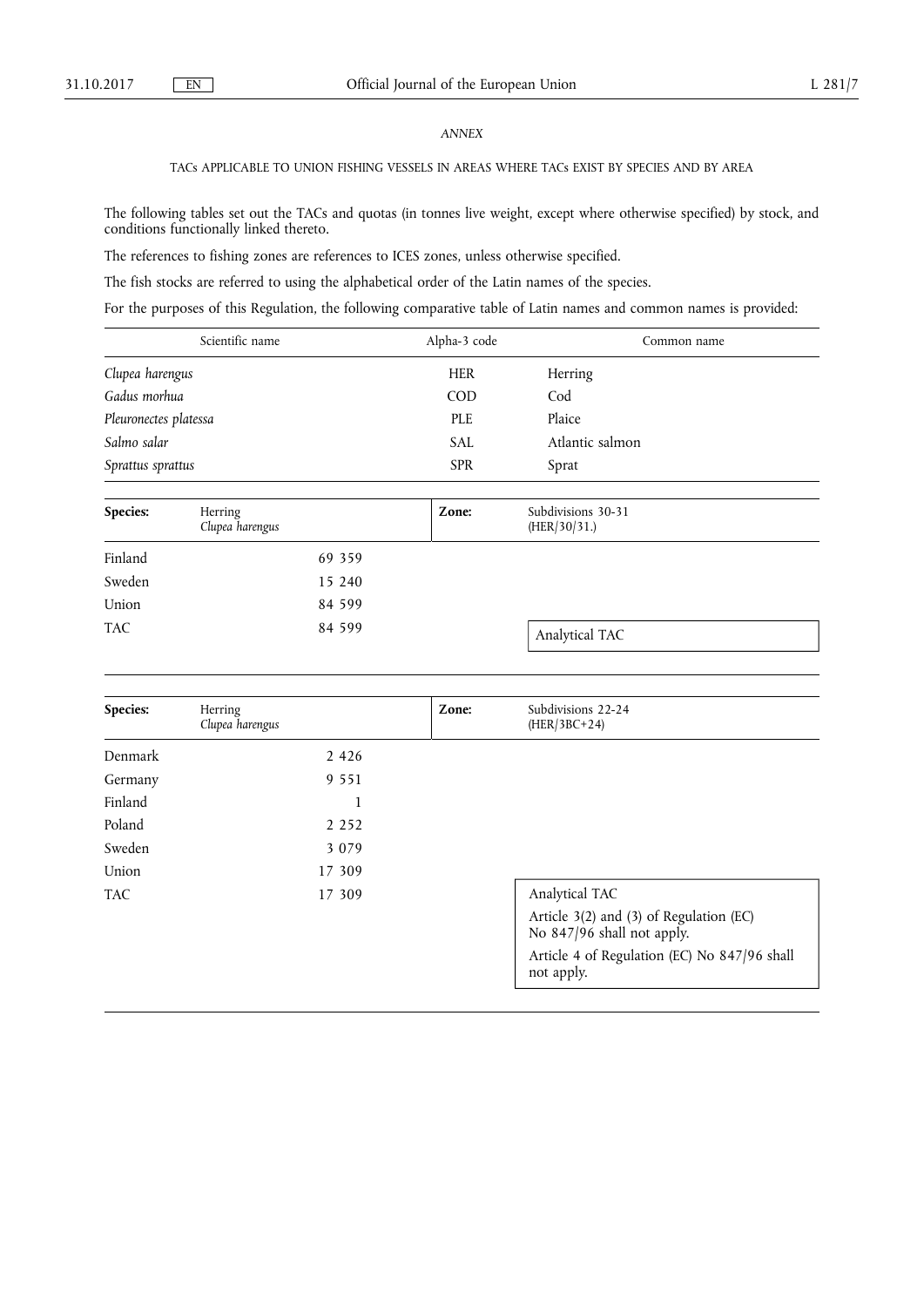## *ANNEX*

## TACs APPLICABLE TO UNION FISHING VESSELS IN AREAS WHERE TACs EXIST BY SPECIES AND BY AREA

The following tables set out the TACs and quotas (in tonnes live weight, except where otherwise specified) by stock, and conditions functionally linked thereto.

The references to fishing zones are references to ICES zones, unless otherwise specified.

The fish stocks are referred to using the alphabetical order of the Latin names of the species.

For the purposes of this Regulation, the following comparative table of Latin names and common names is provided:

| Scientific name       | Alpha-3 code | Common name     |
|-----------------------|--------------|-----------------|
| Clupea harengus       | <b>HER</b>   | Herring         |
| Gadus morhua          | <b>COD</b>   | Cod             |
| Pleuronectes platessa | <b>PLE</b>   | Plaice          |
| Salmo salar           | <b>SAL</b>   | Atlantic salmon |
| Sprattus sprattus     | <b>SPR</b>   | Sprat           |
|                       |              |                 |

| Species:   | Herring<br>Clupea harengus | Zone: | Subdivisions 30-31<br>(HER/30/31.) |
|------------|----------------------------|-------|------------------------------------|
| Finland    | 69 359                     |       |                                    |
| Sweden     | 15 240                     |       |                                    |
| Union      | 84 599                     |       |                                    |
| <b>TAC</b> | 84 599                     |       | Analytical TAC                     |

| Species:   | Herring<br>Clupea harengus | Zone: | Subdivisions 22-24<br>$(HER/3BC+24)$                                  |
|------------|----------------------------|-------|-----------------------------------------------------------------------|
| Denmark    | 2 4 2 6                    |       |                                                                       |
| Germany    | 9 5 5 1                    |       |                                                                       |
| Finland    | 1                          |       |                                                                       |
| Poland     | 2 2 5 2                    |       |                                                                       |
| Sweden     | 3 0 7 9                    |       |                                                                       |
| Union      | 17 309                     |       |                                                                       |
| <b>TAC</b> | 17 309                     |       | Analytical TAC                                                        |
|            |                            |       | Article 3(2) and (3) of Regulation (EC)<br>No 847/96 shall not apply. |
|            |                            |       | Article 4 of Regulation (EC) No 847/96 shall<br>not apply.            |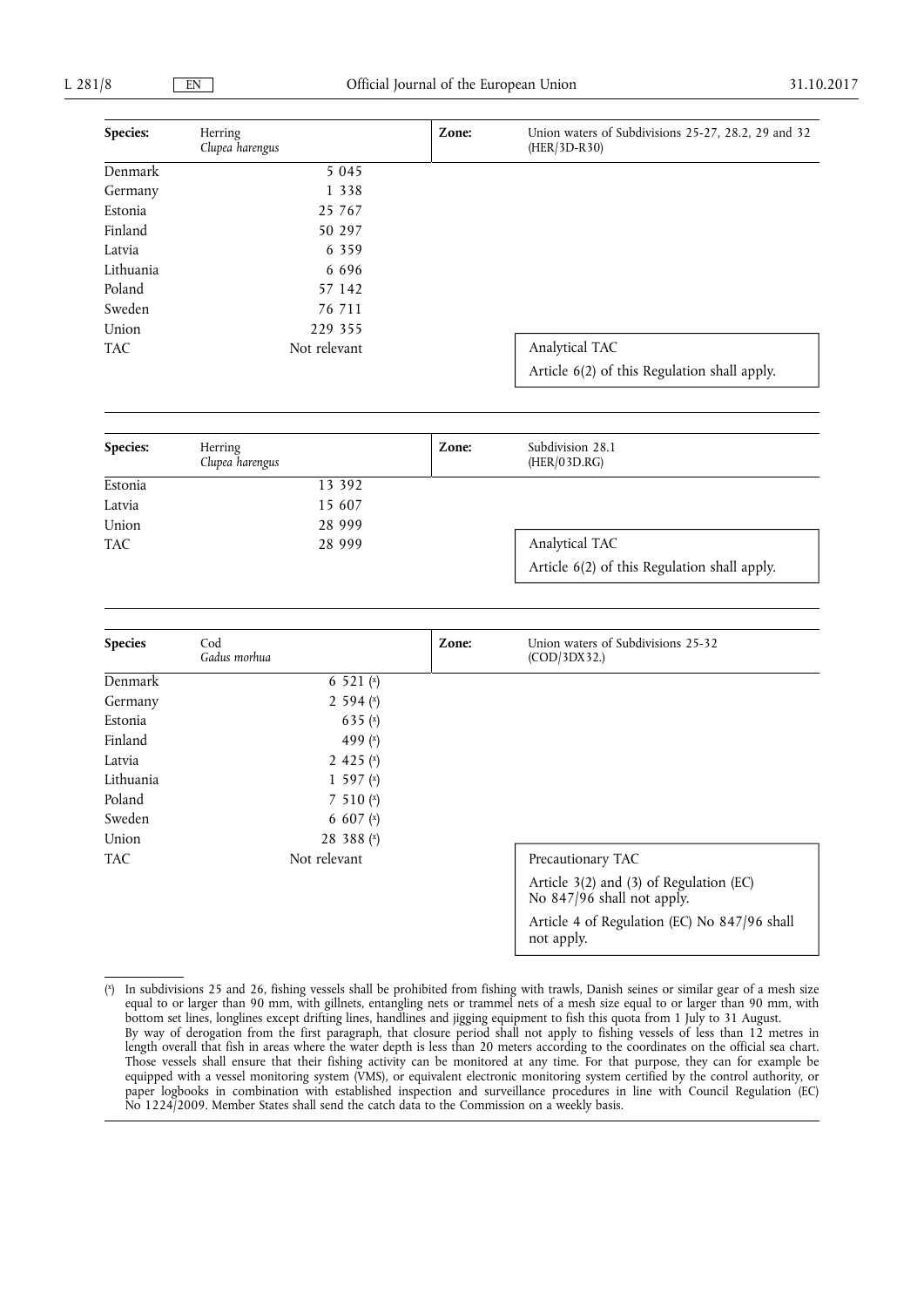| Species:   | Herring<br>Clupea harengus | Zone: | Union waters of Subdivisions 25-27, 28.2, 29 and 32<br>(HER/3D-R30)   |
|------------|----------------------------|-------|-----------------------------------------------------------------------|
| Denmark    | $\overline{5}045$          |       |                                                                       |
| Germany    | 1 3 3 8                    |       |                                                                       |
| Estonia    | 25 767                     |       |                                                                       |
| Finland    | 50 297                     |       |                                                                       |
| Latvia     | 6 3 5 9                    |       |                                                                       |
| Lithuania  | 6 6 9 6                    |       |                                                                       |
| Poland     | 57 142                     |       |                                                                       |
| Sweden     | 76 711                     |       |                                                                       |
| Union      | 229 355                    |       |                                                                       |
| <b>TAC</b> | Not relevant               |       | Analytical TAC                                                        |
|            |                            |       | Article 6(2) of this Regulation shall apply.                          |
|            |                            |       |                                                                       |
| Species:   | Herring<br>Clupea harengus | Zone: | Subdivision 28.1<br>(HER/03D.RG)                                      |
| Estonia    | 13 392                     |       |                                                                       |
| Latvia     | 15 607                     |       |                                                                       |
| Union      | 28 999                     |       |                                                                       |
| <b>TAC</b> | 28 999                     |       | Analytical TAC                                                        |
|            |                            |       | Article 6(2) of this Regulation shall apply.                          |
|            |                            |       |                                                                       |
| Species    | Cod<br>Gadus morhua        | Zone: | Union waters of Subdivisions 25-32<br>(COD/3DX32.)                    |
| Denmark    | 6 521 $(x)$                |       |                                                                       |
| Germany    | 2 594 $(x)$                |       |                                                                       |
| Estonia    | 635 $(x)$                  |       |                                                                       |
| Finland    | 499 $(x)$                  |       |                                                                       |
| Latvia     | 2 4 2 5 $(x)$              |       |                                                                       |
| Lithuania  | 1 597 $(x)$                |       |                                                                       |
| Poland     | 7 510 $(x)$                |       |                                                                       |
| Sweden     | 6 607 $(x)$                |       |                                                                       |
| Union      | 28 388 (x)                 |       |                                                                       |
| <b>TAC</b> | Not relevant               |       | Precautionary TAC                                                     |
|            |                            |       | Article 3(2) and (3) of Regulation (EC)<br>No 847/96 shall not apply. |
|            |                            |       | Article 4 of Regulation (EC) No 847/96 shall<br>not apply.            |

 $(x)$ x) In subdivisions 25 and 26, fishing vessels shall be prohibited from fishing with trawls, Danish seines or similar gear of a mesh size equal to or larger than 90 mm, with gillnets, entangling nets or trammel nets of a mesh size equal to or larger than 90 mm, with bottom set lines, longlines except drifting lines, handlines and jigging equipment to fish this quota from 1 July to 31 August. By way of derogation from the first paragraph, that closure period shall not apply to fishing vessels of less than 12 metres in length overall that fish in areas where the water depth is less than 20 meters according to the coordinates on the official sea chart. Those vessels shall ensure that their fishing activity can be monitored at any time. For that purpose, they can for example be equipped with a vessel monitoring system (VMS), or equivalent electronic monitoring system certified by the control authority, or paper logbooks in combination with established inspection and surveillance procedures in line with Council Regulation (EC) No 1224/2009. Member States shall send the catch data to the Commission on a weekly basis.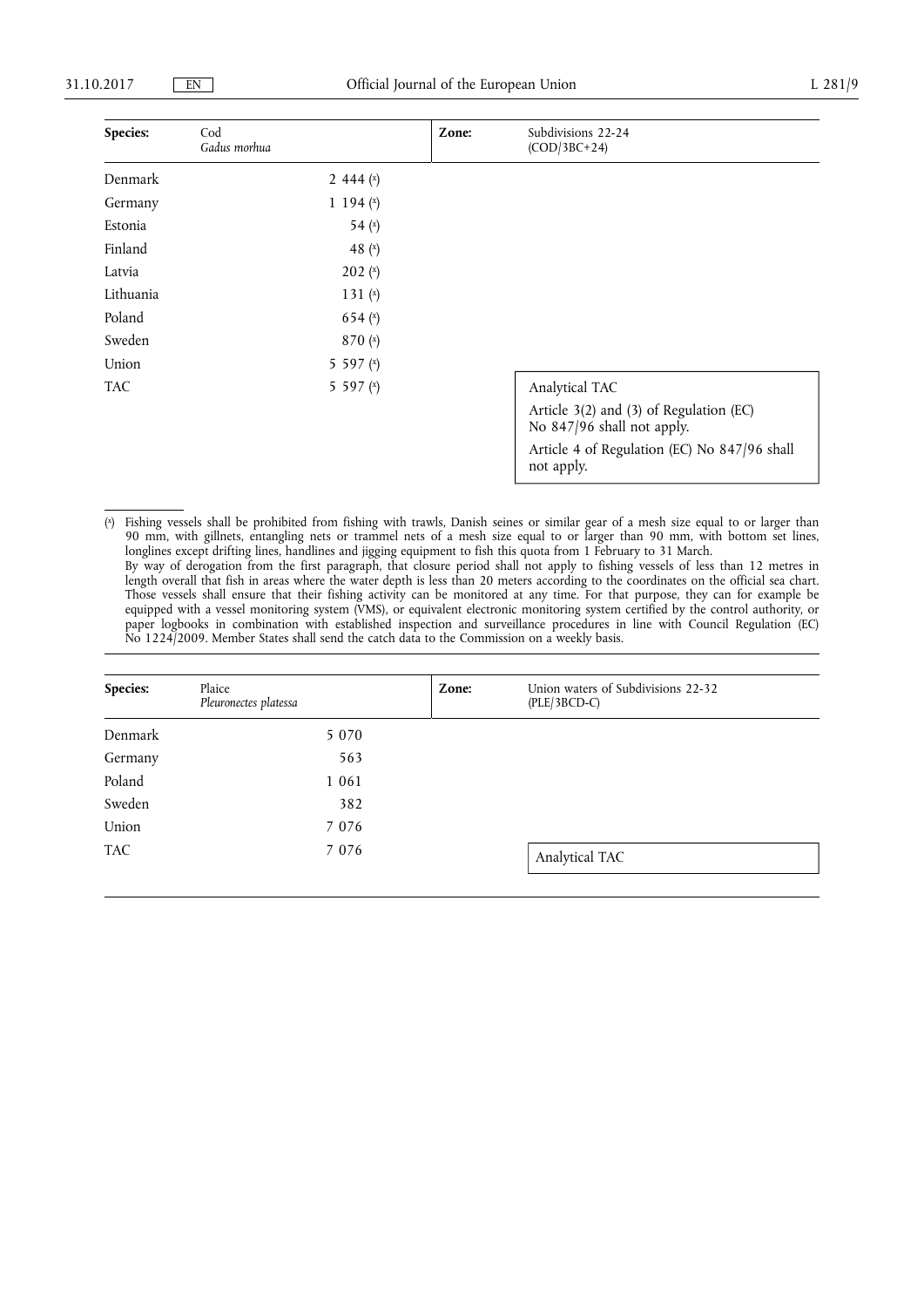| Species:  | Cod<br>Gadus morhua | Zone: | Subdivisions 22-24<br>$(COD/3BC+24)$                                  |
|-----------|---------------------|-------|-----------------------------------------------------------------------|
| Denmark   | 2 444 $(x)$         |       |                                                                       |
| Germany   | 1 1 9 4 $(x)$       |       |                                                                       |
| Estonia   | 54 $(x)$            |       |                                                                       |
| Finland   | 48 $(x)$            |       |                                                                       |
| Latvia    | 202(x)              |       |                                                                       |
| Lithuania | 131 $(x)$           |       |                                                                       |
| Poland    | 654 $(x)$           |       |                                                                       |
| Sweden    | 870 $(x)$           |       |                                                                       |
| Union     | 5 5 9 7 $(x)$       |       |                                                                       |
| TAC       | 5 5 9 7 $(x)$       |       | Analytical TAC                                                        |
|           |                     |       | Article 3(2) and (3) of Regulation (EC)<br>No 847/96 shall not apply. |
|           |                     |       | Article 4 of Regulation (EC) No 847/96 shall<br>not apply.            |

( x) Fishing vessels shall be prohibited from fishing with trawls, Danish seines or similar gear of a mesh size equal to or larger than 90 mm, with gillnets, entangling nets or trammel nets of a mesh size equal to or larger than 90 mm, with bottom set lines, longlines except drifting lines, handlines and jigging equipment to fish this quota from 1 February to 31 March. By way of derogation from the first paragraph, that closure period shall not apply to fishing vessels of less than 12 metres in length overall that fish in areas where the water depth is less than 20 meters according to the coordinates on the official sea chart. Those vessels shall ensure that their fishing activity can be monitored at any time. For that purpose, they can for example be equipped with a vessel monitoring system (VMS), or equivalent electronic monitoring system certified by the control authority, or paper logbooks in combination with established inspection and surveillance procedures in line with Council Regulation (EC) No 1224/2009. Member States shall send the catch data to the Commission on a weekly basis.

| Species:   | Plaice<br>Pleuronectes platessa | Zone: | Union waters of Subdivisions 22-32<br>$(PLE/3BCD-C)$ |
|------------|---------------------------------|-------|------------------------------------------------------|
| Denmark    | 5 0 7 0                         |       |                                                      |
| Germany    | 563                             |       |                                                      |
| Poland     | 1 0 6 1                         |       |                                                      |
| Sweden     | 382                             |       |                                                      |
| Union      | 7 0 7 6                         |       |                                                      |
| <b>TAC</b> | 7 0 7 6                         |       | Analytical TAC                                       |